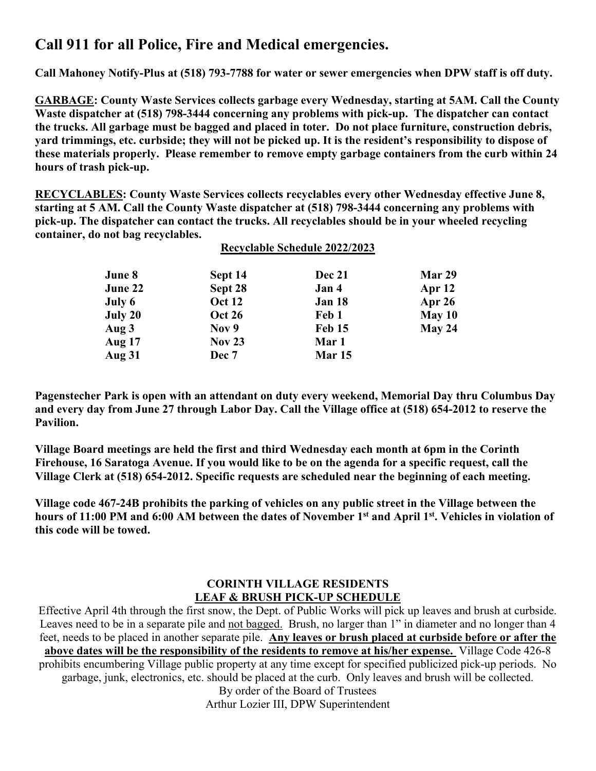# **Call 911 for all Police, Fire and Medical emergencies.**

**Call Mahoney Notify-Plus at (518) 793-7788 for water or sewer emergencies when DPW staff is off duty.**

**GARBAGE: County Waste Services collects garbage every Wednesday, starting at 5AM. Call the County Waste dispatcher at (518) 798-3444 concerning any problems with pick-up. The dispatcher can contact the trucks. All garbage must be bagged and placed in toter. Do not place furniture, construction debris, yard trimmings, etc. curbside; they will not be picked up. It is the resident's responsibility to dispose of these materials properly. Please remember to remove empty garbage containers from the curb within 24 hours of trash pick-up.**

**RECYCLABLES: County Waste Services collects recyclables every other Wednesday effective June 8, starting at 5 AM. Call the County Waste dispatcher at (518) 798-3444 concerning any problems with pick-up. The dispatcher can contact the trucks. All recyclables should be in your wheeled recycling container, do not bag recyclables. Recyclable Schedule 2022/2023**

|               |               | Recyclable Schedule 2022/2023 |          |  |
|---------------|---------------|-------------------------------|----------|--|
| June 8        | Sept 14       | <b>Dec 21</b>                 | Mar 29   |  |
| June 22       | Sept 28       | Jan 4                         | Apr $12$ |  |
| July 6        | <b>Oct 12</b> | Jan 18                        | Apr $26$ |  |
| July 20       | <b>Oct 26</b> | Feb 1                         | May $10$ |  |
| Aug 3         | Nov 9         | Feb 15                        | May 24   |  |
| <b>Aug 17</b> | Nov $23$      | Mar 1                         |          |  |
| <b>Aug 31</b> | Dec 7         | Mar 15                        |          |  |

**Pagenstecher Park is open with an attendant on duty every weekend, Memorial Day thru Columbus Day and every day from June 27 through Labor Day. Call the Village office at (518) 654-2012 to reserve the Pavilion.**

**Village Board meetings are held the first and third Wednesday each month at 6pm in the Corinth Firehouse, 16 Saratoga Avenue. If you would like to be on the agenda for a specific request, call the Village Clerk at (518) 654-2012. Specific requests are scheduled near the beginning of each meeting.**

**Village code 467-24B prohibits the parking of vehicles on any public street in the Village between the hours of 11:00 PM and 6:00 AM between the dates of November 1st and April 1st. Vehicles in violation of this code will be towed.**

### **CORINTH VILLAGE RESIDENTS LEAF & BRUSH PICK-UP SCHEDULE**

Effective April 4th through the first snow, the Dept. of Public Works will pick up leaves and brush at curbside. Leaves need to be in a separate pile and not bagged. Brush, no larger than 1" in diameter and no longer than 4 feet, needs to be placed in another separate pile. **Any leaves or brush placed at curbside before or after the above dates will be the responsibility of the residents to remove at his/her expense.** Village Code 426-8 prohibits encumbering Village public property at any time except for specified publicized pick-up periods. No garbage, junk, electronics, etc. should be placed at the curb. Only leaves and brush will be collected. By order of the Board of Trustees

Arthur Lozier III, DPW Superintendent